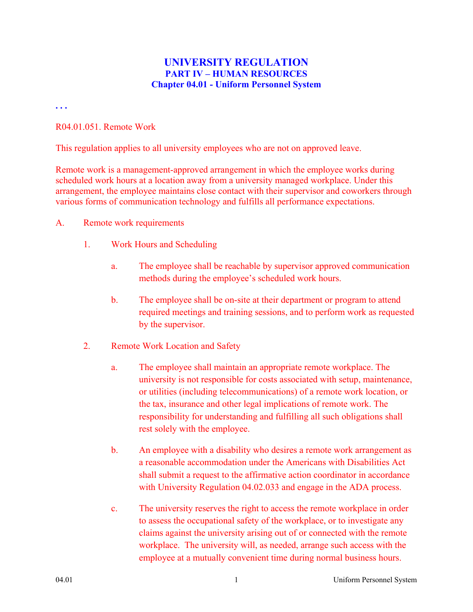## **UNIVERSITY REGULATION PART IV – HUMAN RESOURCES Chapter 04.01 - Uniform Personnel System**

**. . .** 

#### R04.01.051. Remote Work

This regulation applies to all university employees who are not on approved leave.

Remote work is a management-approved arrangement in which the employee works during scheduled work hours at a location away from a university managed workplace. Under this arrangement, the employee maintains close contact with their supervisor and coworkers through various forms of communication technology and fulfills all performance expectations.

- A. Remote work requirements
	- 1. Work Hours and Scheduling
		- a. The employee shall be reachable by supervisor approved communication methods during the employee's scheduled work hours.
		- b. The employee shall be on-site at their department or program to attend required meetings and training sessions, and to perform work as requested by the supervisor.
	- 2. Remote Work Location and Safety
		- a. The employee shall maintain an appropriate remote workplace. The university is not responsible for costs associated with setup, maintenance, or utilities (including telecommunications) of a remote work location, or the tax, insurance and other legal implications of remote work. The responsibility for understanding and fulfilling all such obligations shall rest solely with the employee.
		- b. An employee with a disability who desires a remote work arrangement as a reasonable accommodation under the Americans with Disabilities Act shall submit a request to the affirmative action coordinator in accordance with University Regulation 04.02.033 and engage in the ADA process.
		- c. The university reserves the right to access the remote workplace in order to assess the occupational safety of the workplace, or to investigate any claims against the university arising out of or connected with the remote workplace. The university will, as needed, arrange such access with the employee at a mutually convenient time during normal business hours.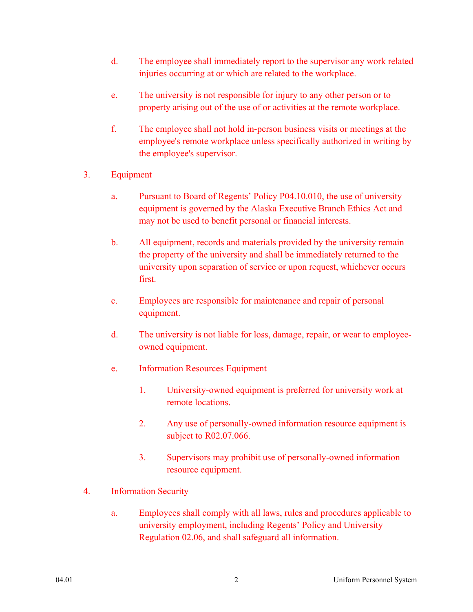- d. The employee shall immediately report to the supervisor any work related injuries occurring at or which are related to the workplace.
- e. The university is not responsible for injury to any other person or to property arising out of the use of or activities at the remote workplace.
- f. The employee shall not hold in-person business visits or meetings at the employee's remote workplace unless specifically authorized in writing by the employee's supervisor.
- 3. Equipment
	- a. Pursuant to Board of Regents' Policy P04.10.010, the use of university equipment is governed by the Alaska Executive Branch Ethics Act and may not be used to benefit personal or financial interests.
	- b. All equipment, records and materials provided by the university remain the property of the university and shall be immediately returned to the university upon separation of service or upon request, whichever occurs first.
	- c. Employees are responsible for maintenance and repair of personal equipment.
	- d. The university is not liable for loss, damage, repair, or wear to employeeowned equipment.
	- e. Information Resources Equipment
		- 1. University-owned equipment is preferred for university work at remote locations.
		- 2. Any use of personally-owned information resource equipment is subject to R02.07.066.
		- 3. Supervisors may prohibit use of personally-owned information resource equipment.
- 4. Information Security
	- a. Employees shall comply with all laws, rules and procedures applicable to university employment, including Regents' Policy and University Regulation 02.06, and shall safeguard all information.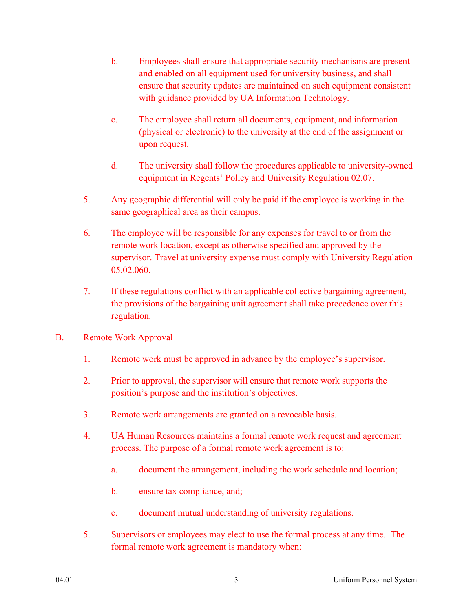- b. Employees shall ensure that appropriate security mechanisms are present and enabled on all equipment used for university business, and shall ensure that security updates are maintained on such equipment consistent with guidance provided by UA Information Technology.
- c. The employee shall return all documents, equipment, and information (physical or electronic) to the university at the end of the assignment or upon request.
- d. The university shall follow the procedures applicable to university-owned equipment in Regents' Policy and University Regulation 02.07.
- 5. Any geographic differential will only be paid if the employee is working in the same geographical area as their campus.
- 6. The employee will be responsible for any expenses for travel to or from the remote work location, except as otherwise specified and approved by the supervisor. Travel at university expense must comply with University Regulation 05.02.060.
- 7. If these regulations conflict with an applicable collective bargaining agreement, the provisions of the bargaining unit agreement shall take precedence over this regulation.
- B. Remote Work Approval
	- 1. Remote work must be approved in advance by the employee's supervisor.
	- 2. Prior to approval, the supervisor will ensure that remote work supports the position's purpose and the institution's objectives.
	- 3. Remote work arrangements are granted on a revocable basis.
	- 4. UA Human Resources maintains a formal remote work request and agreement process. The purpose of a formal remote work agreement is to:
		- a. document the arrangement, including the work schedule and location;
		- b. ensure tax compliance, and;
		- c. document mutual understanding of university regulations.
	- 5. Supervisors or employees may elect to use the formal process at any time. The formal remote work agreement is mandatory when: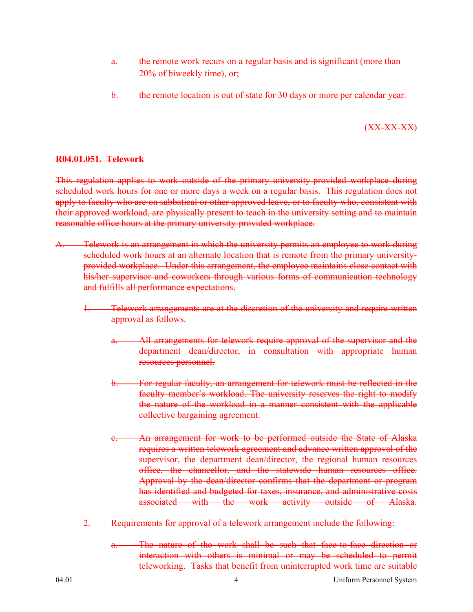- a. the remote work recurs on a regular basis and is significant (more than 20% of biweekly time), or;
- b. the remote location is out of state for 30 days or more per calendar year.

# $(XX-XX-XX)$

### **R04.01.051. Telework**

This regulation applies to work outside of the primary university-provided workplace during scheduled work hours for one or more days a week on a regular basis. This regulation does not apply to faculty who are on sabbatical or other approved leave, or to faculty who, consistent with their approved workload, are physically present to teach in the university setting and to maintain reasonable office hours at the primary university-provided workplace.

- Telework is an arrangement in which the university permits an employee to work during scheduled work hours at an alternate location that is remote from the primary universityprovided workplace. Under this arrangement, the employee maintains close contact with his/her supervisor and coworkers through various forms of communication technology and fulfills all performance expectations.
	- 1. Telework arrangements are at the discretion of the university and require written approval as follows.
		- All arrangements for telework require approval of the supervisor and the department dean/director, in consultation with appropriate human resources personnel.
		- For regular faculty, an arrangement for telework must be reflected in the faculty member's workload. The university reserves the right to modify the nature of the workload in a manner consistent with the applicable collective bargaining agreement.
		- An arrangement for work to be performed outside the State of Alaska requires a written telework agreement and advance written approval of the supervisor, the department dean/director, the regional human resources office, the chancellor, and the statewide human resources office. Approval by the dean/director confirms that the department or program has identified and budgeted for taxes, insurance, and administrative costs associated with the work activity outside of Alaska.
	- 2. Requirements for approval of a telework arrangement include the following:
		- The nature of the work shall be such that face-to-face direction or interaction with others is minimal or may be scheduled to permit teleworking. Tasks that benefit from uninterrupted work time are suitable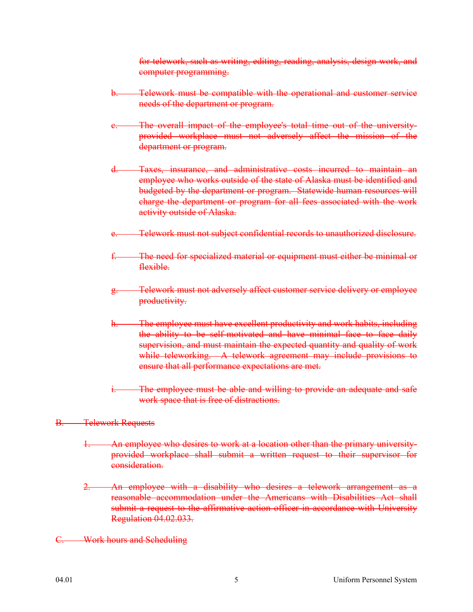for telework, such as writing, editing, reading, analysis, design work, and computer programming.

- Telework must be compatible with the operational and customer service needs of the department or program.
- The overall impact of the employee's total time out of the universityprovided workplace must not adversely affect the mission of the department or program.
- d. Taxes, insurance, and administrative costs incurred to maintain an employee who works outside of the state of Alaska must be identified and budgeted by the department or program. Statewide human resources will charge the department or program for all fees associated with the work activity outside of Alaska.
- Telework must not subject confidential records to unauthorized disclosure.
- f. The need for specialized material or equipment must either be minimal or flexible.
- Telework must not adversely affect customer service delivery or employee productivity.
- The employee must have excellent productivity and work habits, including the ability to be self-motivated and have minimal face to face daily supervision, and must maintain the expected quantity and quality of work while teleworking. A telework agreement may include provisions to ensure that all performance expectations are met.
- The employee must be able and willing to provide an adequate and safe work space that is free of distractions.

### B. Telework Requests

- 1. An employee who desires to work at a location other than the primary universityprovided workplace shall submit a written request to their supervisor for consideration.
- 2. An employee with a disability who desires a telework arrangement as a reasonable accommodation under the Americans with Disabilities Act shall submit a request to the affirmative action officer in accordance with University Regulation 04.02.033.
- Work hours and Scheduling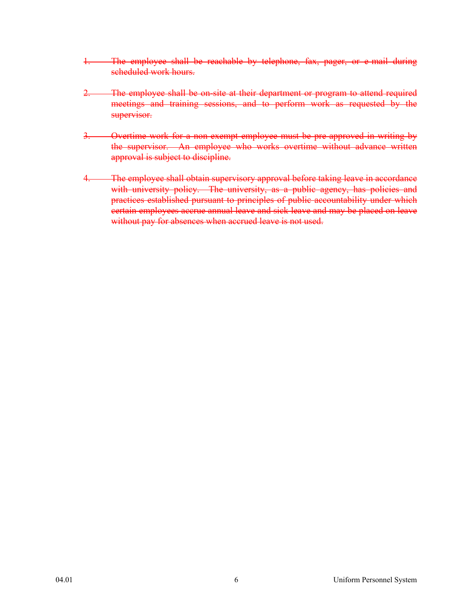- 1. The employee shall be reachable by telephone, fax, pager, or e-mail during scheduled work hours.
- 2. The employee shall be on-site at their department or program to attend required meetings and training sessions, and to perform work as requested by the supervisor.
- 3. Overtime work for a non-exempt employee must be pre-approved in writing by the supervisor. An employee who works overtime without advance written approval is subject to discipline.
- 4. The employee shall obtain supervisory approval before taking leave in accordance with university policy. The university, as a public agency, has policies and practices established pursuant to principles of public accountability under which certain employees accrue annual leave and sick leave and may be placed on leave without pay for absences when accrued leave is not used.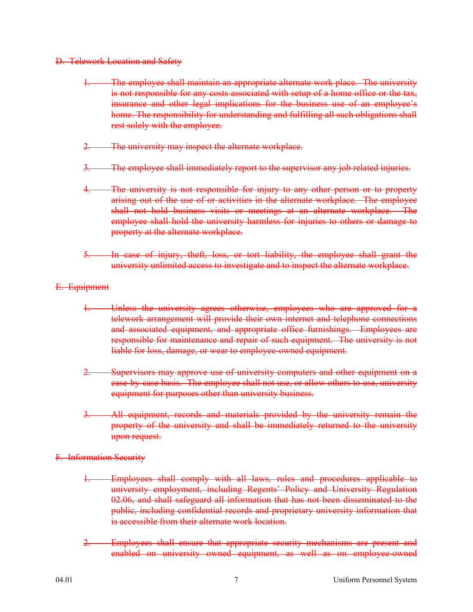- D. Telework Location and Safety
	- 1. The employee shall maintain an appropriate alternate work place. The university is not responsible for any costs associated with setup of a home office or the tax, insurance and other legal implications for the business use of an employee's home. The responsibility for understanding and fulfilling all such obligations shall rest solely with the employee.
	- 2. The university may inspect the alternate workplace.
	- The employee shall immediately report to the supervisor any job related injuries.
	- The university is not responsible for injury to any other person or to property arising out of the use of or activities in the alternate workplace. The employee shall not hold business visits or meetings at an alternate workplace. The employee shall hold the university harmless for injuries to others or damage to property at the alternate workplace.
	- 5. In case of injury, theft, loss, or tort liability, the employee shall grant the university unlimited access to investigate and to inspect the alternate workplace.
- E. Equipment
	- 1. Unless the university agrees otherwise, employees who are approved for a telework arrangement will provide their own internet and telephone connections and associated equipment, and appropriate office furnishings. Employees are responsible for maintenance and repair of such equipment. The university is not liable for loss, damage, or wear to employee-owned equipment.
	- 2. Supervisors may approve use of university computers and other equipment on a case-by-case basis. The employee shall not use, or allow others to use, university equipment for purposes other than university business.
	- 3. All equipment, records and materials provided by the university remain the property of the university and shall be immediately returned to the university upon request.
- F. Information Security
	- 1. Employees shall comply with all laws, rules and procedures applicable to university employment, including Regents' Policy and University Regulation 02.06, and shall safeguard all information that has not been disseminated to the public, including confidential records and proprietary university information that is accessible from their alternate work location.
	- Employees shall ensure that appropriate security mechanisms are present and enabled on university owned equipment, as well as on employee-owned